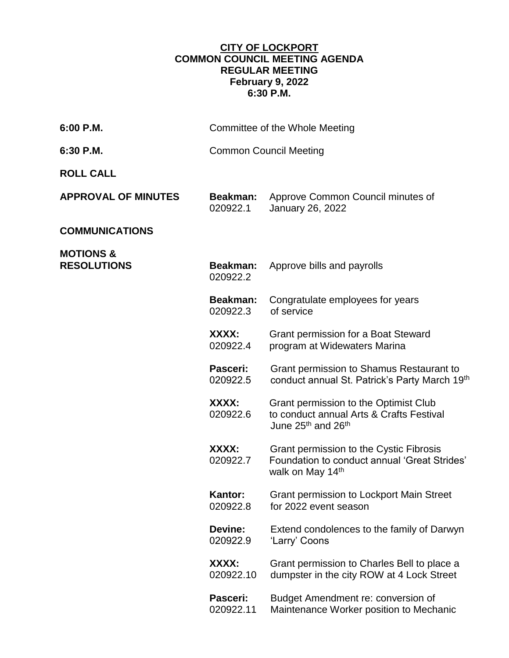## **CITY OF LOCKPORT COMMON COUNCIL MEETING AGENDA REGULAR MEETING February 9, 2022 6:30 P.M.**

| 6:00 P.M.                                  | Committee of the Whole Meeting |                                                                                                                                 |
|--------------------------------------------|--------------------------------|---------------------------------------------------------------------------------------------------------------------------------|
| 6:30 P.M.                                  | <b>Common Council Meeting</b>  |                                                                                                                                 |
| <b>ROLL CALL</b>                           |                                |                                                                                                                                 |
| <b>APPROVAL OF MINUTES</b>                 | Beakman:<br>020922.1           | Approve Common Council minutes of<br>January 26, 2022                                                                           |
| <b>COMMUNICATIONS</b>                      |                                |                                                                                                                                 |
| <b>MOTIONS &amp;</b><br><b>RESOLUTIONS</b> | <b>Beakman:</b><br>020922.2    | Approve bills and payrolls                                                                                                      |
|                                            | <b>Beakman:</b><br>020922.3    | Congratulate employees for years<br>of service                                                                                  |
|                                            | XXXX:<br>020922.4              | Grant permission for a Boat Steward<br>program at Widewaters Marina                                                             |
|                                            | Pasceri:<br>020922.5           | Grant permission to Shamus Restaurant to<br>conduct annual St. Patrick's Party March 19th                                       |
|                                            | XXXX:<br>020922.6              | Grant permission to the Optimist Club<br>to conduct annual Arts & Crafts Festival<br>June 25 <sup>th</sup> and 26 <sup>th</sup> |
|                                            | XXXX:<br>020922.7              | Grant permission to the Cystic Fibrosis<br>Foundation to conduct annual 'Great Strides'<br>walk on May 14th                     |
|                                            | <b>Kantor:</b><br>020922.8     | <b>Grant permission to Lockport Main Street</b><br>for 2022 event season                                                        |
|                                            | Devine:<br>020922.9            | Extend condolences to the family of Darwyn<br>'Larry' Coons                                                                     |
|                                            | XXXX:<br>020922.10             | Grant permission to Charles Bell to place a<br>dumpster in the city ROW at 4 Lock Street                                        |
|                                            | Pasceri:<br>020922.11          | Budget Amendment re: conversion of<br>Maintenance Worker position to Mechanic                                                   |